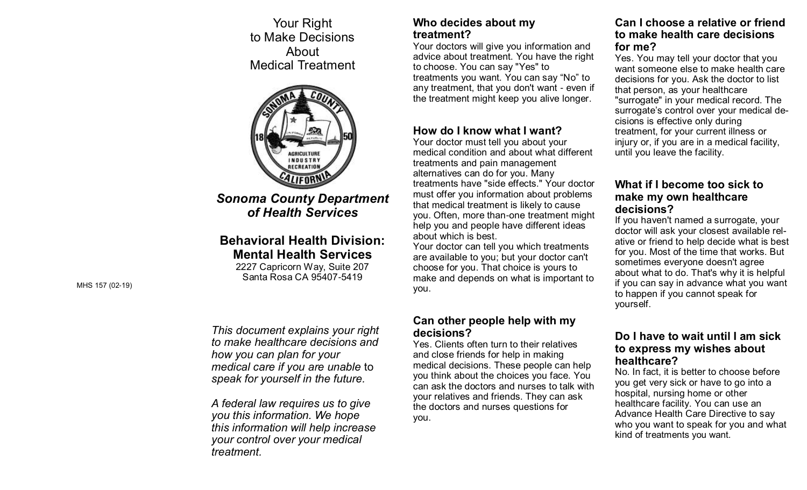to Make Decisions Your Right About Medical Treatment



*Sonoma County Department of Health Services*

# **Behavioral Health Division: Mental Health Services**

2227 Capricorn Way, Suite 207 Santa Rosa CA 95407-5419

*This document explains your right to make healthcare decisions and how you can plan for your medical care if you are unable* to *speak for yourself in the future.*

*A federal law requires us to give you this information. We hope this information will help increase your control over your medical treatment.*

#### **Who decides about my treatment?**

Your doctors will give you information and advice about treatment. You have the right to choose. You can say "Yes" to treatments you want. You can say "No" to any treatment, that you don't want - even if the treatment might keep you alive longer.

## **How do I know what I want?**

Your doctor must tell you about your medical condition and about what different treatments and pain management alternatives can do for you. Many treatments have "side effects." Your doctor must offer you information about problems that medical treatment is likely to cause you. Often, more than-one treatment might help you and people have different ideas about which is best.

Your doctor can tell you which treatments are available to you; but your doctor can't choose for you. That choice is yours to make and depends on what is important to you.

### **Can other people help with my decisions?**

 Yes. Clients often turn to their relatives and close friends for help in making medical decisions. These people can help you think about the choices you face. You can ask the doctors and nurses to talk with your relatives and friends. They can ask the doctors and nurses questions for you.

## **Can I choose a relative or friend to make health care decisions for me?**

Yes. You may tell your doctor that you want someone else to make health care decisions for you. Ask the doctor to list that person, as your healthcare "surrogate" in your medical record. The surrogate's control over your medical decisions is effective only during treatment, for your current illness or injury or, if you are in a medical facility, until you leave the facility.

## **What if I become too sick to make my own healthcare decisions?**

If you haven't named a surrogate, your doctor will ask your closest available relative or friend to help decide what is best for you. Most of the time that works. But sometimes everyone doesn't agree about what to do. That's why it is helpful if you can say in advance what you want to happen if you cannot speak for yourself.

### **Do I have to wait until I am sick to express my wishes about healthcare?**

No. In fact, it is better to choose before you get very sick or have to go into a hospital, nursing home or other healthcare facility. You can use an Advance Health Care Directive to say who you want to speak for you and what kind of treatments you want.

MHS 157 (02-19)